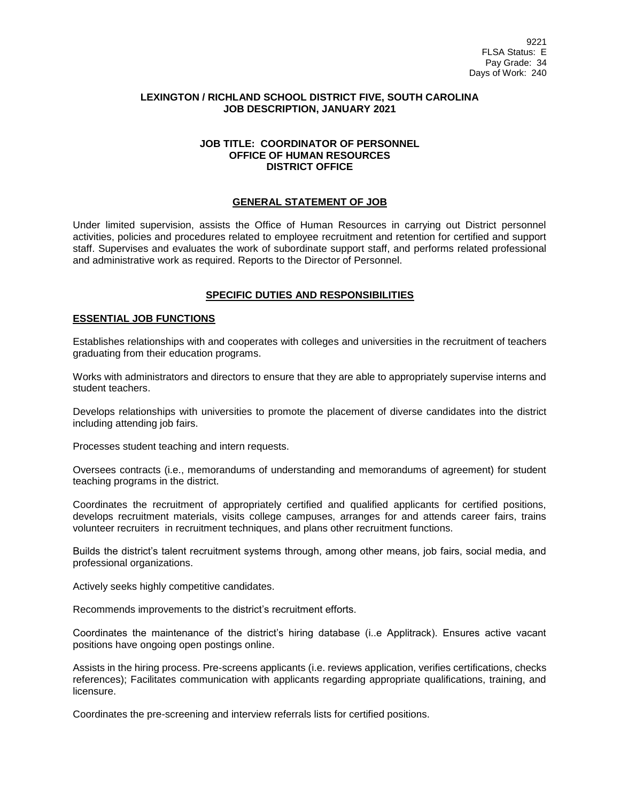## **LEXINGTON / RICHLAND SCHOOL DISTRICT FIVE, SOUTH CAROLINA JOB DESCRIPTION, JANUARY 2021**

#### **JOB TITLE: COORDINATOR OF PERSONNEL OFFICE OF HUMAN RESOURCES DISTRICT OFFICE**

#### **GENERAL STATEMENT OF JOB**

Under limited supervision, assists the Office of Human Resources in carrying out District personnel activities, policies and procedures related to employee recruitment and retention for certified and support staff. Supervises and evaluates the work of subordinate support staff, and performs related professional and administrative work as required. Reports to the Director of Personnel.

## **SPECIFIC DUTIES AND RESPONSIBILITIES**

#### **ESSENTIAL JOB FUNCTIONS**

Establishes relationships with and cooperates with colleges and universities in the recruitment of teachers graduating from their education programs.

Works with administrators and directors to ensure that they are able to appropriately supervise interns and student teachers.

Develops relationships with universities to promote the placement of diverse candidates into the district including attending job fairs.

Processes student teaching and intern requests.

Oversees contracts (i.e., memorandums of understanding and memorandums of agreement) for student teaching programs in the district.

Coordinates the recruitment of appropriately certified and qualified applicants for certified positions, develops recruitment materials, visits college campuses, arranges for and attends career fairs, trains volunteer recruiters in recruitment techniques, and plans other recruitment functions.

Builds the district's talent recruitment systems through, among other means, job fairs, social media, and professional organizations.

Actively seeks highly competitive candidates.

Recommends improvements to the district's recruitment efforts.

Coordinates the maintenance of the district's hiring database (i..e Applitrack). Ensures active vacant positions have ongoing open postings online.

Assists in the hiring process. Pre-screens applicants (i.e. reviews application, verifies certifications, checks references); Facilitates communication with applicants regarding appropriate qualifications, training, and licensure.

Coordinates the pre-screening and interview referrals lists for certified positions.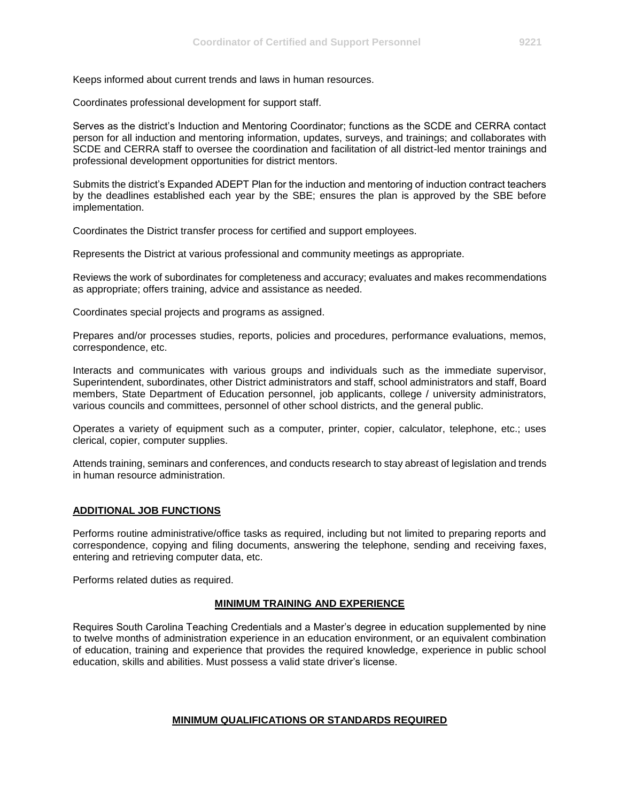Keeps informed about current trends and laws in human resources.

Coordinates professional development for support staff.

Serves as the district's Induction and Mentoring Coordinator; functions as the SCDE and CERRA contact person for all induction and mentoring information, updates, surveys, and trainings; and collaborates with SCDE and CERRA staff to oversee the coordination and facilitation of all district-led mentor trainings and professional development opportunities for district mentors.

Submits the district's Expanded ADEPT Plan for the induction and mentoring of induction contract teachers by the deadlines established each year by the SBE; ensures the plan is approved by the SBE before implementation.

Coordinates the District transfer process for certified and support employees.

Represents the District at various professional and community meetings as appropriate.

Reviews the work of subordinates for completeness and accuracy; evaluates and makes recommendations as appropriate; offers training, advice and assistance as needed.

Coordinates special projects and programs as assigned.

Prepares and/or processes studies, reports, policies and procedures, performance evaluations, memos, correspondence, etc.

Interacts and communicates with various groups and individuals such as the immediate supervisor, Superintendent, subordinates, other District administrators and staff, school administrators and staff, Board members, State Department of Education personnel, job applicants, college / university administrators, various councils and committees, personnel of other school districts, and the general public.

Operates a variety of equipment such as a computer, printer, copier, calculator, telephone, etc.; uses clerical, copier, computer supplies.

Attends training, seminars and conferences, and conducts research to stay abreast of legislation and trends in human resource administration.

## **ADDITIONAL JOB FUNCTIONS**

Performs routine administrative/office tasks as required, including but not limited to preparing reports and correspondence, copying and filing documents, answering the telephone, sending and receiving faxes, entering and retrieving computer data, etc.

Performs related duties as required.

## **MINIMUM TRAINING AND EXPERIENCE**

Requires South Carolina Teaching Credentials and a Master's degree in education supplemented by nine to twelve months of administration experience in an education environment, or an equivalent combination of education, training and experience that provides the required knowledge, experience in public school education, skills and abilities. Must possess a valid state driver's license.

## **MINIMUM QUALIFICATIONS OR STANDARDS REQUIRED**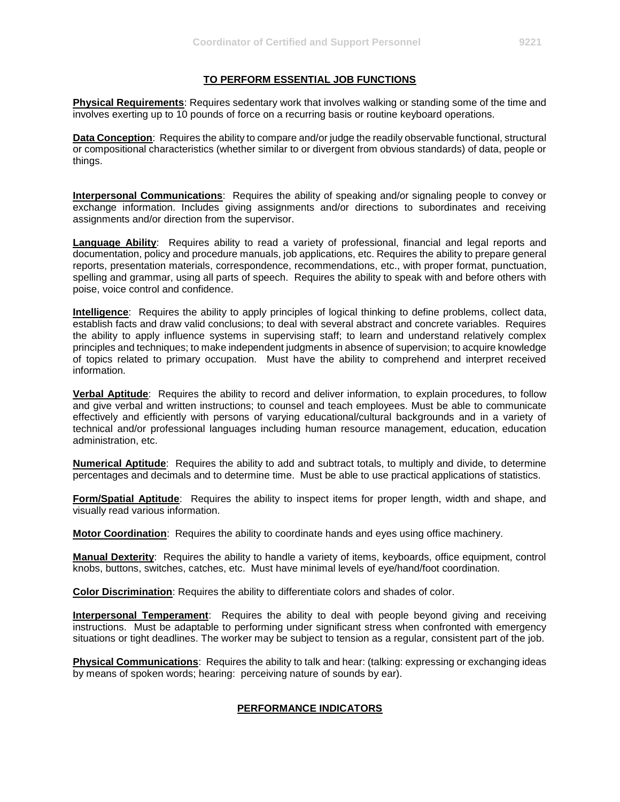## **TO PERFORM ESSENTIAL JOB FUNCTIONS**

**Physical Requirements**: Requires sedentary work that involves walking or standing some of the time and involves exerting up to 10 pounds of force on a recurring basis or routine keyboard operations.

**Data Conception**: Requires the ability to compare and/or judge the readily observable functional, structural or compositional characteristics (whether similar to or divergent from obvious standards) of data, people or things.

**Interpersonal Communications**: Requires the ability of speaking and/or signaling people to convey or exchange information. Includes giving assignments and/or directions to subordinates and receiving assignments and/or direction from the supervisor.

**Language Ability**: Requires ability to read a variety of professional, financial and legal reports and documentation, policy and procedure manuals, job applications, etc. Requires the ability to prepare general reports, presentation materials, correspondence, recommendations, etc., with proper format, punctuation, spelling and grammar, using all parts of speech. Requires the ability to speak with and before others with poise, voice control and confidence.

**Intelligence**: Requires the ability to apply principles of logical thinking to define problems, collect data, establish facts and draw valid conclusions; to deal with several abstract and concrete variables. Requires the ability to apply influence systems in supervising staff; to learn and understand relatively complex principles and techniques; to make independent judgments in absence of supervision; to acquire knowledge of topics related to primary occupation. Must have the ability to comprehend and interpret received information.

**Verbal Aptitude**: Requires the ability to record and deliver information, to explain procedures, to follow and give verbal and written instructions; to counsel and teach employees. Must be able to communicate effectively and efficiently with persons of varying educational/cultural backgrounds and in a variety of technical and/or professional languages including human resource management, education, education administration, etc.

**Numerical Aptitude**: Requires the ability to add and subtract totals, to multiply and divide, to determine percentages and decimals and to determine time. Must be able to use practical applications of statistics.

**Form/Spatial Aptitude**: Requires the ability to inspect items for proper length, width and shape, and visually read various information.

**Motor Coordination**: Requires the ability to coordinate hands and eyes using office machinery.

**Manual Dexterity**: Requires the ability to handle a variety of items, keyboards, office equipment, control knobs, buttons, switches, catches, etc. Must have minimal levels of eye/hand/foot coordination.

**Color Discrimination**: Requires the ability to differentiate colors and shades of color.

**Interpersonal Temperament**: Requires the ability to deal with people beyond giving and receiving instructions. Must be adaptable to performing under significant stress when confronted with emergency situations or tight deadlines. The worker may be subject to tension as a regular, consistent part of the job.

**Physical Communications**: Requires the ability to talk and hear: (talking: expressing or exchanging ideas by means of spoken words; hearing: perceiving nature of sounds by ear).

# **PERFORMANCE INDICATORS**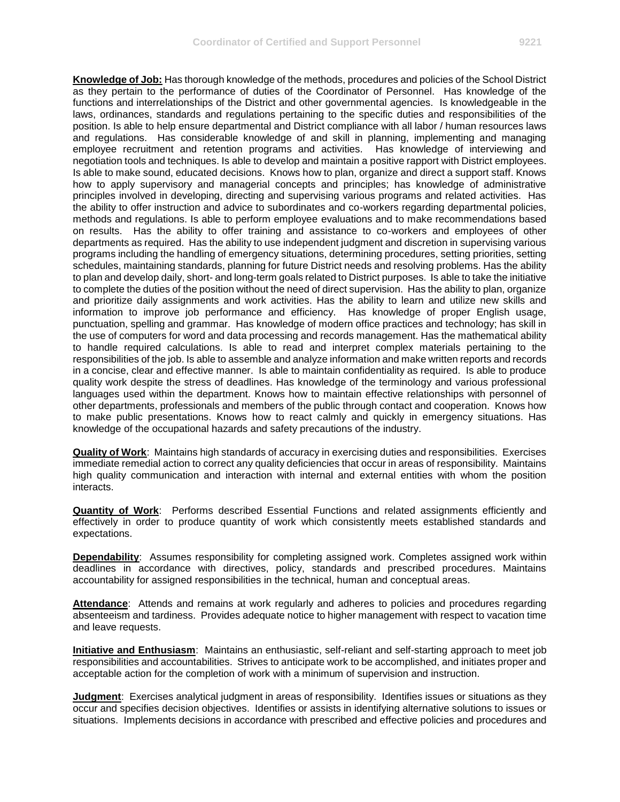**Knowledge of Job:** Has thorough knowledge of the methods, procedures and policies of the School District as they pertain to the performance of duties of the Coordinator of Personnel. Has knowledge of the functions and interrelationships of the District and other governmental agencies. Is knowledgeable in the laws, ordinances, standards and regulations pertaining to the specific duties and responsibilities of the position. Is able to help ensure departmental and District compliance with all labor / human resources laws and regulations. Has considerable knowledge of and skill in planning, implementing and managing employee recruitment and retention programs and activities. Has knowledge of interviewing and negotiation tools and techniques. Is able to develop and maintain a positive rapport with District employees. Is able to make sound, educated decisions. Knows how to plan, organize and direct a support staff. Knows how to apply supervisory and managerial concepts and principles; has knowledge of administrative principles involved in developing, directing and supervising various programs and related activities. Has the ability to offer instruction and advice to subordinates and co-workers regarding departmental policies, methods and regulations. Is able to perform employee evaluations and to make recommendations based on results. Has the ability to offer training and assistance to co-workers and employees of other departments as required. Has the ability to use independent judgment and discretion in supervising various programs including the handling of emergency situations, determining procedures, setting priorities, setting schedules, maintaining standards, planning for future District needs and resolving problems. Has the ability to plan and develop daily, short- and long-term goals related to District purposes. Is able to take the initiative to complete the duties of the position without the need of direct supervision. Has the ability to plan, organize and prioritize daily assignments and work activities. Has the ability to learn and utilize new skills and information to improve job performance and efficiency. Has knowledge of proper English usage, punctuation, spelling and grammar. Has knowledge of modern office practices and technology; has skill in the use of computers for word and data processing and records management. Has the mathematical ability to handle required calculations. Is able to read and interpret complex materials pertaining to the responsibilities of the job. Is able to assemble and analyze information and make written reports and records in a concise, clear and effective manner. Is able to maintain confidentiality as required. Is able to produce quality work despite the stress of deadlines. Has knowledge of the terminology and various professional languages used within the department. Knows how to maintain effective relationships with personnel of other departments, professionals and members of the public through contact and cooperation. Knows how to make public presentations. Knows how to react calmly and quickly in emergency situations. Has knowledge of the occupational hazards and safety precautions of the industry.

**Quality of Work**: Maintains high standards of accuracy in exercising duties and responsibilities. Exercises immediate remedial action to correct any quality deficiencies that occur in areas of responsibility. Maintains high quality communication and interaction with internal and external entities with whom the position interacts.

**Quantity of Work**: Performs described Essential Functions and related assignments efficiently and effectively in order to produce quantity of work which consistently meets established standards and expectations.

**Dependability**: Assumes responsibility for completing assigned work. Completes assigned work within deadlines in accordance with directives, policy, standards and prescribed procedures. Maintains accountability for assigned responsibilities in the technical, human and conceptual areas.

**Attendance**: Attends and remains at work regularly and adheres to policies and procedures regarding absenteeism and tardiness. Provides adequate notice to higher management with respect to vacation time and leave requests.

**Initiative and Enthusiasm**: Maintains an enthusiastic, self-reliant and self-starting approach to meet job responsibilities and accountabilities. Strives to anticipate work to be accomplished, and initiates proper and acceptable action for the completion of work with a minimum of supervision and instruction.

**Judgment**: Exercises analytical judgment in areas of responsibility. Identifies issues or situations as they occur and specifies decision objectives. Identifies or assists in identifying alternative solutions to issues or situations. Implements decisions in accordance with prescribed and effective policies and procedures and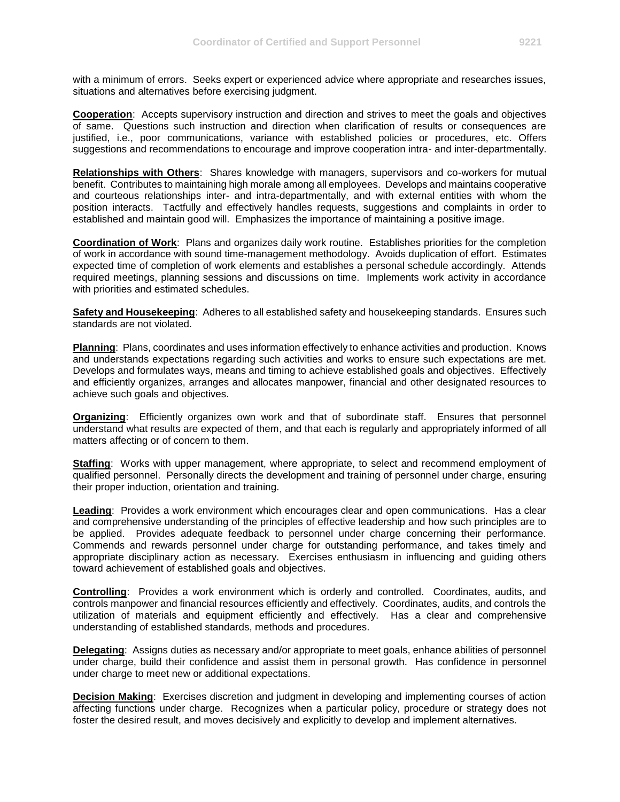with a minimum of errors. Seeks expert or experienced advice where appropriate and researches issues, situations and alternatives before exercising judgment.

**Cooperation**: Accepts supervisory instruction and direction and strives to meet the goals and objectives of same. Questions such instruction and direction when clarification of results or consequences are justified, i.e., poor communications, variance with established policies or procedures, etc. Offers suggestions and recommendations to encourage and improve cooperation intra- and inter-departmentally.

**Relationships with Others**: Shares knowledge with managers, supervisors and co-workers for mutual benefit. Contributes to maintaining high morale among all employees. Develops and maintains cooperative and courteous relationships inter- and intra-departmentally, and with external entities with whom the position interacts. Tactfully and effectively handles requests, suggestions and complaints in order to established and maintain good will. Emphasizes the importance of maintaining a positive image.

**Coordination of Work**: Plans and organizes daily work routine. Establishes priorities for the completion of work in accordance with sound time-management methodology. Avoids duplication of effort. Estimates expected time of completion of work elements and establishes a personal schedule accordingly. Attends required meetings, planning sessions and discussions on time. Implements work activity in accordance with priorities and estimated schedules.

**Safety and Housekeeping**: Adheres to all established safety and housekeeping standards. Ensures such standards are not violated.

**Planning**: Plans, coordinates and uses information effectively to enhance activities and production. Knows and understands expectations regarding such activities and works to ensure such expectations are met. Develops and formulates ways, means and timing to achieve established goals and objectives. Effectively and efficiently organizes, arranges and allocates manpower, financial and other designated resources to achieve such goals and objectives.

**Organizing**: Efficiently organizes own work and that of subordinate staff. Ensures that personnel understand what results are expected of them, and that each is regularly and appropriately informed of all matters affecting or of concern to them.

**Staffing**: Works with upper management, where appropriate, to select and recommend employment of qualified personnel. Personally directs the development and training of personnel under charge, ensuring their proper induction, orientation and training.

**Leading**: Provides a work environment which encourages clear and open communications. Has a clear and comprehensive understanding of the principles of effective leadership and how such principles are to be applied. Provides adequate feedback to personnel under charge concerning their performance. Commends and rewards personnel under charge for outstanding performance, and takes timely and appropriate disciplinary action as necessary. Exercises enthusiasm in influencing and guiding others toward achievement of established goals and objectives.

**Controlling**: Provides a work environment which is orderly and controlled. Coordinates, audits, and controls manpower and financial resources efficiently and effectively. Coordinates, audits, and controls the utilization of materials and equipment efficiently and effectively. Has a clear and comprehensive understanding of established standards, methods and procedures.

**Delegating**: Assigns duties as necessary and/or appropriate to meet goals, enhance abilities of personnel under charge, build their confidence and assist them in personal growth. Has confidence in personnel under charge to meet new or additional expectations.

**Decision Making:** Exercises discretion and judgment in developing and implementing courses of action affecting functions under charge. Recognizes when a particular policy, procedure or strategy does not foster the desired result, and moves decisively and explicitly to develop and implement alternatives.